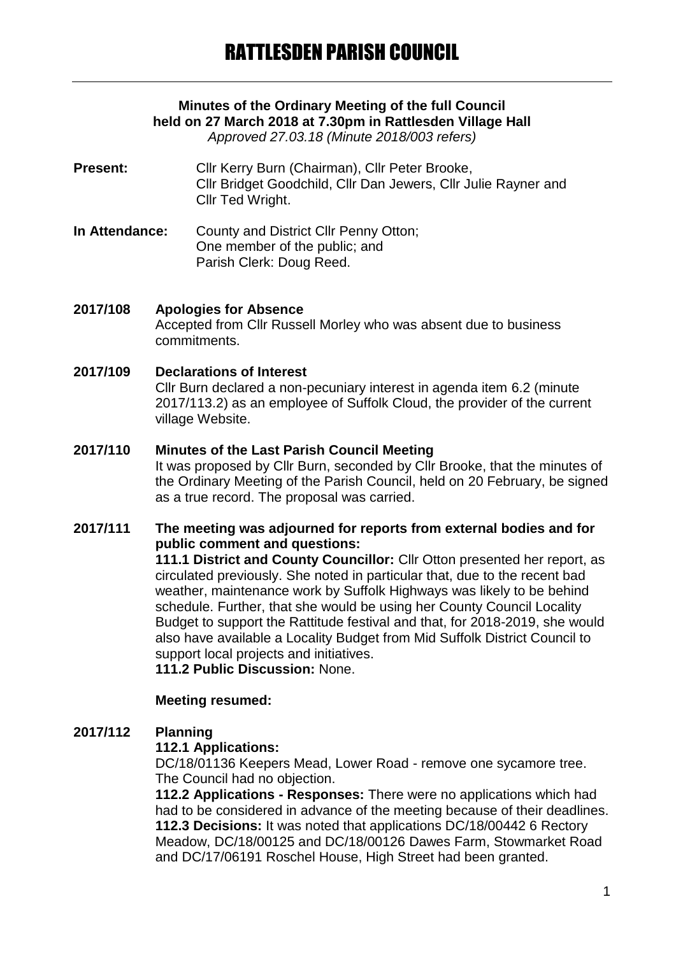# **Minutes of the Ordinary Meeting of the full Council held on 27 March 2018 at 7.30pm in Rattlesden Village Hall**

*Approved 27.03.18 (Minute 2018/003 refers)*

- **Present:** Cllr Kerry Burn (Chairman), Cllr Peter Brooke, Cllr Bridget Goodchild, Cllr Dan Jewers, Cllr Julie Rayner and Cllr Ted Wright.
- **In Attendance:** County and District Cllr Penny Otton; One member of the public; and Parish Clerk: Doug Reed.

#### **2017/108 Apologies for Absence**

Accepted from Cllr Russell Morley who was absent due to business commitments.

### **2017/109 Declarations of Interest**

Cllr Burn declared a non-pecuniary interest in agenda item 6.2 (minute 2017/113.2) as an employee of Suffolk Cloud, the provider of the current village Website.

#### **2017/110 Minutes of the Last Parish Council Meeting**

It was proposed by Cllr Burn, seconded by Cllr Brooke, that the minutes of the Ordinary Meeting of the Parish Council, held on 20 February, be signed as a true record. The proposal was carried.

### **2017/111 The meeting was adjourned for reports from external bodies and for public comment and questions:**

**111.1 District and County Councillor:** Cllr Otton presented her report, as circulated previously. She noted in particular that, due to the recent bad weather, maintenance work by Suffolk Highways was likely to be behind schedule. Further, that she would be using her County Council Locality Budget to support the Rattitude festival and that, for 2018-2019, she would also have available a Locality Budget from Mid Suffolk District Council to support local projects and initiatives.

**111.2 Public Discussion:** None.

### **Meeting resumed:**

### **2017/112 Planning**

#### **112.1 Applications:**

DC/18/01136 Keepers Mead, Lower Road - remove one sycamore tree. The Council had no objection.

**112.2 Applications - Responses:** There were no applications which had had to be considered in advance of the meeting because of their deadlines. **112.3 Decisions:** It was noted that applications DC/18/00442 6 Rectory Meadow, DC/18/00125 and DC/18/00126 Dawes Farm, Stowmarket Road and DC/17/06191 Roschel House, High Street had been granted.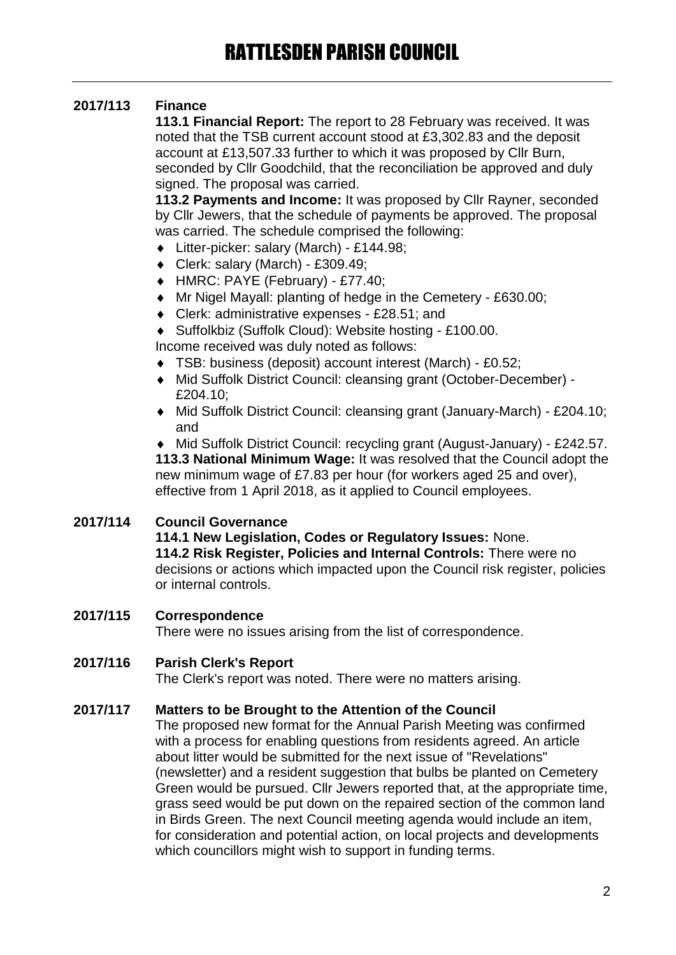## **2017/113 Finance**

**113.1 Financial Report:** The report to 28 February was received. It was noted that the TSB current account stood at £3,302.83 and the deposit account at £13,507.33 further to which it was proposed by Cllr Burn, seconded by Cllr Goodchild, that the reconciliation be approved and duly signed. The proposal was carried.

**113.2 Payments and Income:** It was proposed by Cllr Rayner, seconded by Cllr Jewers, that the schedule of payments be approved. The proposal was carried. The schedule comprised the following:

- Litter-picker: salary (March) £144.98;
- Clerk: salary (March) £309.49;
- HMRC: PAYE (February) £77.40;
- Mr Nigel Mayall: planting of hedge in the Cemetery £630.00;
- ◆ Clerk: administrative expenses £28.51; and
- Suffolkbiz (Suffolk Cloud): Website hosting £100.00.

Income received was duly noted as follows:

- TSB: business (deposit) account interest (March) £0.52;
- Mid Suffolk District Council: cleansing grant (October-December) £204.10;
- Mid Suffolk District Council: cleansing grant (January-March) £204.10; and

 Mid Suffolk District Council: recycling grant (August-January) - £242.57. **113.3 National Minimum Wage:** It was resolved that the Council adopt the new minimum wage of £7.83 per hour (for workers aged 25 and over), effective from 1 April 2018, as it applied to Council employees.

### **2017/114 Council Governance**

**114.1 New Legislation, Codes or Regulatory Issues:** None. **114.2 Risk Register, Policies and Internal Controls:** There were no decisions or actions which impacted upon the Council risk register, policies or internal controls.

### **2017/115 Correspondence**

There were no issues arising from the list of correspondence.

### **2017/116 Parish Clerk's Report**

The Clerk's report was noted. There were no matters arising.

### **2017/117 Matters to be Brought to the Attention of the Council**

The proposed new format for the Annual Parish Meeting was confirmed with a process for enabling questions from residents agreed. An article about litter would be submitted for the next issue of "Revelations" (newsletter) and a resident suggestion that bulbs be planted on Cemetery Green would be pursued. Cllr Jewers reported that, at the appropriate time, grass seed would be put down on the repaired section of the common land in Birds Green. The next Council meeting agenda would include an item, for consideration and potential action, on local projects and developments which councillors might wish to support in funding terms.